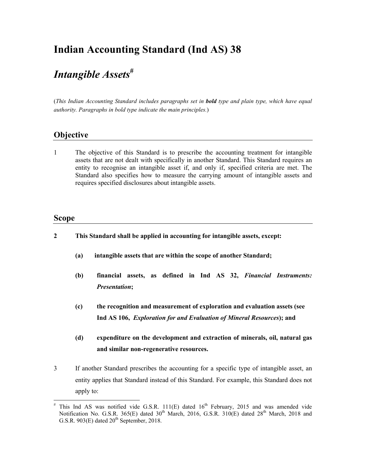# Indian Accounting Standard (Ind AS) 38

# *Intangible Assets#*

(*This Indian Accounting Standard includes paragraphs set in bold type and plain type, which have equal authority. Paragraphs in bold type indicate the main principles.*)

## **Objective**

1 The objective of this Standard is to prescribe the accounting treatment for intangible assets that are not dealt with specifically in another Standard. This Standard requires an entity to recognise an intangible asset if, and only if, specified criteria are met. The Standard also specifies how to measure the carrying amount of intangible assets and requires specified disclosures about intangible assets.

## Scope

- 2 This Standard shall be applied in accounting for intangible assets, except:
	- (a) intangible assets that are within the scope of another Standard;
	- (b) financial assets, as defined in Ind AS 32, *Financial Instruments: Presentation*;
	- (c) the recognition and measurement of exploration and evaluation assets (see Ind AS 106, *Exploration for and Evaluation of Mineral Resources*); and
	- (d) expenditure on the development and extraction of minerals, oil, natural gas and similar non-regenerative resources.
- 3 If another Standard prescribes the accounting for a specific type of intangible asset, an entity applies that Standard instead of this Standard. For example, this Standard does not apply to:

This Ind AS was notified vide G.S.R.  $111(E)$  dated  $16<sup>th</sup>$  February, 2015 and was amended vide Notification No. G.S.R. 365(E) dated  $30<sup>th</sup>$  March, 2016, G.S.R. 310(E) dated  $28<sup>th</sup>$  March, 2018 and G.S.R. 903(E) dated  $20^{th}$  September, 2018.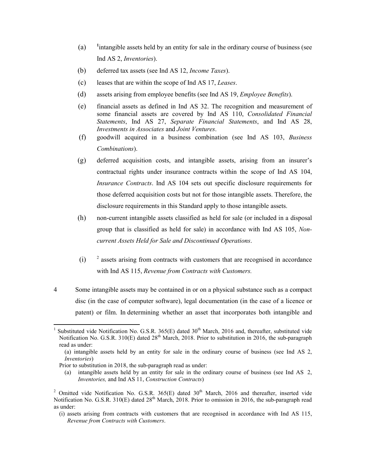- $(a)$ intangible assets held by an entity for sale in the ordinary course of business (see Ind AS 2, *Inventories*).
- (b) deferred tax assets (see Ind AS 12, *Income Taxes*).
- (c) leases that are within the scope of Ind AS 17, *Leases*.
- (d) assets arising from employee benefits (see Ind AS 19, *Employee Benefits*).
- (e) financial assets as defined in Ind AS 32. The recognition and measurement of some financial assets are covered by Ind AS 110, *Consolidated Financial Statements*, Ind AS 27, *Separate Financial Statements*, and Ind AS 28, *Investments in Associates* and *Joint Ventures*.
- (f) goodwill acquired in a business combination (see Ind AS 103, *Business Combinations*).
- (g) deferred acquisition costs, and intangible assets, arising from an insurer's contractual rights under insurance contracts within the scope of Ind AS 104, *Insurance Contracts*. Ind AS 104 sets out specific disclosure requirements for those deferred acquisition costs but not for those intangible assets. Therefore, the disclosure requirements in this Standard apply to those intangible assets.
- (h) non-current intangible assets classified as held for sale (or included in a disposal group that is classified as held for sale) in accordance with Ind AS 105, *Noncurrent Assets Held for Sale and Discontinued Operations*.
- $(i)$  <sup>2</sup> assets arising from contracts with customers that are recognised in accordance with Ind AS 115, *Revenue from Contracts with Customers.*
- 4 Some intangible assets may be contained in or on a physical substance such as a compact disc (in the case of computer software), legal documentation (in the case of a licence or patent) or film. In determining whether an asset that incorporates both intangible and

Substituted vide Notification No. G.S.R. 365(E) dated 30<sup>th</sup> March, 2016 and, thereafter, substituted vide Notification No. G.S.R. 310(E) dated  $28<sup>th</sup>$  March, 2018. Prior to substitution in 2016, the sub-paragraph read as under:

<sup>(</sup>a) intangible assets held by an entity for sale in the ordinary course of business (see Ind AS 2, *Inventories*)

Prior to substitution in 2018, the sub-paragraph read as under:

<sup>(</sup>a) intangible assets held by an entity for sale in the ordinary course of business (see Ind AS 2, *Inventories,* and Ind AS 11, *Construction Contracts*)

<sup>&</sup>lt;sup>2</sup> Omitted vide Notification No. G.S.R. 365(E) dated  $30<sup>th</sup>$  March, 2016 and thereafter, inserted vide Notification No. G.S.R. 310(E) dated 28<sup>th</sup> March, 2018. Prior to omission in 2016, the sub-paragraph read as under:

<sup>(</sup>i) assets arising from contracts with customers that are recognised in accordance with Ind AS 115, *Revenue from Contracts with Customers*.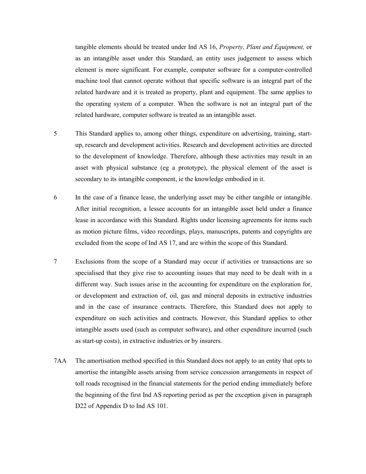tangible elements should be treated under Ind AS 16, *Property, Plant and Equipment,* or as an intangible asset under this Standard, an entity uses judgement to assess which element is more significant. For example, computer software for a computer-controlled machine tool that cannot operate without that specific software is an integral part of the related hardware and it is treated as property, plant and equipment. The same applies to the operating system of a computer. When the software is not an integral part of the related hardware, computer software is treated as an intangible asset.

- 5 This Standard applies to, among other things, expenditure on advertising, training, startup, research and development activities. Research and development activities are directed to the development of knowledge. Therefore, although these activities may result in an asset with physical substance (eg a prototype), the physical element of the asset is secondary to its intangible component, ie the knowledge embodied in it.
- 6 In the case of a finance lease, the underlying asset may be either tangible or intangible. After initial recognition, a lessee accounts for an intangible asset held under a finance lease in accordance with this Standard. Rights under licensing agreements for items such as motion picture films, video recordings, plays, manuscripts, patents and copyrights are excluded from the scope of Ind AS 17, and are within the scope of this Standard.
- 7 Exclusions from the scope of a Standard may occur if activities or transactions are so specialised that they give rise to accounting issues that may need to be dealt with in a different way. Such issues arise in the accounting for expenditure on the exploration for, or development and extraction of, oil, gas and mineral deposits in extractive industries and in the case of insurance contracts. Therefore, this Standard does not apply to expenditure on such activities and contracts. However, this Standard applies to other intangible assets used (such as computer software), and other expenditure incurred (such as start-up costs), in extractive industries or by insurers.
- 7AA The amortisation method specified in this Standard does not apply to an entity that opts to amortise the intangible assets arising from service concession arrangements in respect of toll roads recognised in the financial statements for the period ending immediately before the beginning of the first Ind AS reporting period as per the exception given in paragraph D22 of Appendix D to Ind AS 101.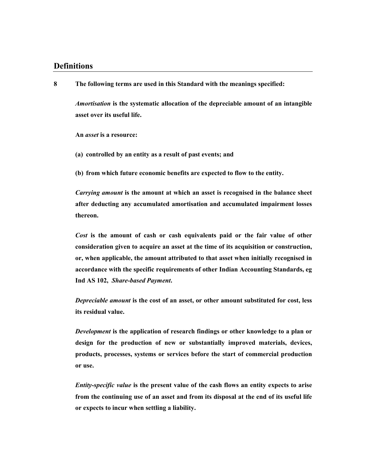#### **Definitions**

8 The following terms are used in this Standard with the meanings specified:

*Amortisation* is the systematic allocation of the depreciable amount of an intangible asset over its useful life.

An *asset* is a resource:

(a) controlled by an entity as a result of past events; and

(b) from which future economic benefits are expected to flow to the entity.

*Carrying amount* is the amount at which an asset is recognised in the balance sheet after deducting any accumulated amortisation and accumulated impairment losses thereon.

*Cost* is the amount of cash or cash equivalents paid or the fair value of other consideration given to acquire an asset at the time of its acquisition or construction, or, when applicable, the amount attributed to that asset when initially recognised in accordance with the specific requirements of other Indian Accounting Standards, eg Ind AS 102, *Share-based Payment*.

*Depreciable amount* is the cost of an asset, or other amount substituted for cost, less its residual value.

*Development* is the application of research findings or other knowledge to a plan or design for the production of new or substantially improved materials, devices, products, processes, systems or services before the start of commercial production or use.

*Entity-specific value* is the present value of the cash flows an entity expects to arise from the continuing use of an asset and from its disposal at the end of its useful life or expects to incur when settling a liability.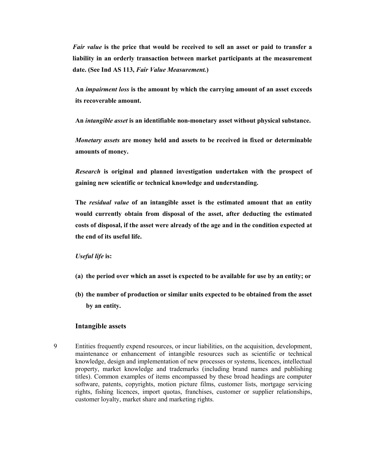*Fair value* is the price that would be received to sell an asset or paid to transfer a liability in an orderly transaction between market participants at the measurement date. (See Ind AS 113, *Fair Value Measurement.*)

An *impairment loss* is the amount by which the carrying amount of an asset exceeds its recoverable amount.

An *intangible asset* is an identifiable non-monetary asset without physical substance.

*Monetary assets* are money held and assets to be received in fixed or determinable amounts of money.

*Research* is original and planned investigation undertaken with the prospect of gaining new scientific or technical knowledge and understanding.

The *residual value* of an intangible asset is the estimated amount that an entity would currently obtain from disposal of the asset, after deducting the estimated costs of disposal, if the asset were already of the age and in the condition expected at the end of its useful life.

#### *Useful life* is:

- (a) the period over which an asset is expected to be available for use by an entity; or
- (b) the number of production or similar units expected to be obtained from the asset by an entity.

#### Intangible assets

9 Entities frequently expend resources, or incur liabilities, on the acquisition, development, maintenance or enhancement of intangible resources such as scientific or technical knowledge, design and implementation of new processes or systems, licences, intellectual property, market knowledge and trademarks (including brand names and publishing titles). Common examples of items encompassed by these broad headings are computer software, patents, copyrights, motion picture films, customer lists, mortgage servicing rights, fishing licences, import quotas, franchises, customer or supplier relationships, customer loyalty, market share and marketing rights.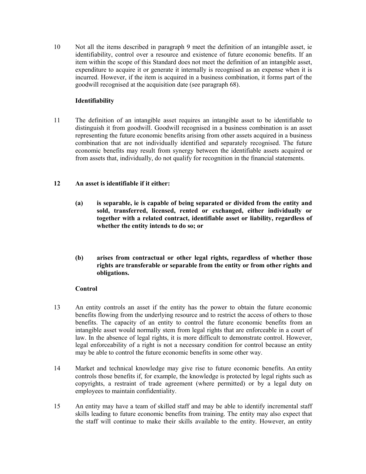10 Not all the items described in paragraph 9 meet the definition of an intangible asset, ie identifiability, control over a resource and existence of future economic benefits. If an item within the scope of this Standard does not meet the definition of an intangible asset, expenditure to acquire it or generate it internally is recognised as an expense when it is incurred. However, if the item is acquired in a business combination, it forms part of the goodwill recognised at the acquisition date (see paragraph 68).

#### Identifiability

11 The definition of an intangible asset requires an intangible asset to be identifiable to distinguish it from goodwill. Goodwill recognised in a business combination is an asset representing the future economic benefits arising from other assets acquired in a business combination that are not individually identified and separately recognised. The future economic benefits may result from synergy between the identifiable assets acquired or from assets that, individually, do not qualify for recognition in the financial statements.

#### 12 An asset is identifiable if it either:

- (a) is separable, ie is capable of being separated or divided from the entity and sold, transferred, licensed, rented or exchanged, either individually or together with a related contract, identifiable asset or liability, regardless of whether the entity intends to do so; or
- (b) arises from contractual or other legal rights, regardless of whether those rights are transferable or separable from the entity or from other rights and obligations.

#### Control

- 13 An entity controls an asset if the entity has the power to obtain the future economic benefits flowing from the underlying resource and to restrict the access of others to those benefits. The capacity of an entity to control the future economic benefits from an intangible asset would normally stem from legal rights that are enforceable in a court of law. In the absence of legal rights, it is more difficult to demonstrate control. However, legal enforceability of a right is not a necessary condition for control because an entity may be able to control the future economic benefits in some other way.
- 14 Market and technical knowledge may give rise to future economic benefits. An entity controls those benefits if, for example, the knowledge is protected by legal rights such as copyrights, a restraint of trade agreement (where permitted) or by a legal duty on employees to maintain confidentiality.
- 15 An entity may have a team of skilled staff and may be able to identify incremental staff skills leading to future economic benefits from training. The entity may also expect that the staff will continue to make their skills available to the entity. However, an entity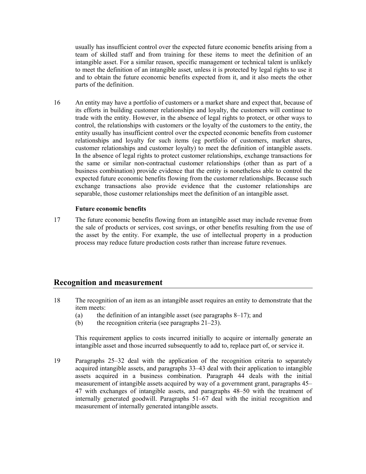usually has insufficient control over the expected future economic benefits arising from a team of skilled staff and from training for these items to meet the definition of an intangible asset. For a similar reason, specific management or technical talent is unlikely to meet the definition of an intangible asset, unless it is protected by legal rights to use it and to obtain the future economic benefits expected from it, and it also meets the other parts of the definition.

16 An entity may have a portfolio of customers or a market share and expect that, because of its efforts in building customer relationships and loyalty, the customers will continue to trade with the entity. However, in the absence of legal rights to protect, or other ways to control, the relationships with customers or the loyalty of the customers to the entity, the entity usually has insufficient control over the expected economic benefits from customer relationships and loyalty for such items (eg portfolio of customers, market shares, customer relationships and customer loyalty) to meet the definition of intangible assets. In the absence of legal rights to protect customer relationships, exchange transactions for the same or similar non-contractual customer relationships (other than as part of a business combination) provide evidence that the entity is nonetheless able to control the expected future economic benefits flowing from the customer relationships. Because such exchange transactions also provide evidence that the customer relationships are separable, those customer relationships meet the definition of an intangible asset.

#### Future economic benefits

17 The future economic benefits flowing from an intangible asset may include revenue from the sale of products or services, cost savings, or other benefits resulting from the use of the asset by the entity. For example, the use of intellectual property in a production process may reduce future production costs rather than increase future revenues.

## Recognition and measurement

- 18 The recognition of an item as an intangible asset requires an entity to demonstrate that the item meets:
	- (a) the definition of an intangible asset (see paragraphs 8–17); and
	- (b) the recognition criteria (see paragraphs 21–23).

This requirement applies to costs incurred initially to acquire or internally generate an intangible asset and those incurred subsequently to add to, replace part of, or service it.

19 Paragraphs 25–32 deal with the application of the recognition criteria to separately acquired intangible assets, and paragraphs 33–43 deal with their application to intangible assets acquired in a business combination. Paragraph 44 deals with the initial measurement of intangible assets acquired by way of a government grant, paragraphs 45– 47 with exchanges of intangible assets, and paragraphs 48–50 with the treatment of internally generated goodwill. Paragraphs 51–67 deal with the initial recognition and measurement of internally generated intangible assets.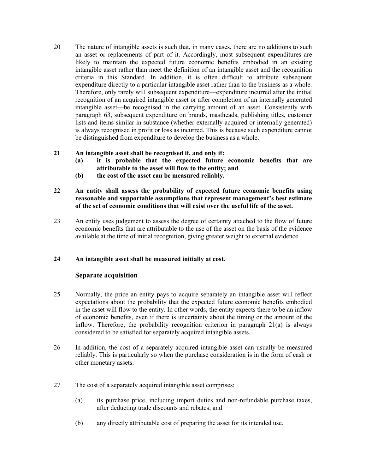20 The nature of intangible assets is such that, in many cases, there are no additions to such an asset or replacements of part of it. Accordingly, most subsequent expenditures are likely to maintain the expected future economic benefits embodied in an existing intangible asset rather than meet the definition of an intangible asset and the recognition criteria in this Standard. In addition, it is often difficult to attribute subsequent expenditure directly to a particular intangible asset rather than to the business as a whole. Therefore, only rarely will subsequent expenditure—expenditure incurred after the initial recognition of an acquired intangible asset or after completion of an internally generated intangible asset—be recognised in the carrying amount of an asset. Consistently with paragraph 63, subsequent expenditure on brands, mastheads, publishing titles, customer lists and items similar in substance (whether externally acquired or internally generated) is always recognised in profit or loss as incurred. This is because such expenditure cannot be distinguished from expenditure to develop the business as a whole.

## 21 An intangible asset shall be recognised if, and only if:

- (a) it is probable that the expected future economic benefits that are attributable to the asset will flow to the entity; and
- (b) the cost of the asset can be measured reliably.
- 22 An entity shall assess the probability of expected future economic benefits using reasonable and supportable assumptions that represent management's best estimate of the set of economic conditions that will exist over the useful life of the asset.
- 23 An entity uses judgement to assess the degree of certainty attached to the flow of future economic benefits that are attributable to the use of the asset on the basis of the evidence available at the time of initial recognition, giving greater weight to external evidence.

#### 24 An intangible asset shall be measured initially at cost.

#### Separate acquisition

- 25 Normally, the price an entity pays to acquire separately an intangible asset will reflect expectations about the probability that the expected future economic benefits embodied in the asset will flow to the entity. In other words, the entity expects there to be an inflow of economic benefits, even if there is uncertainty about the timing or the amount of the inflow. Therefore, the probability recognition criterion in paragraph  $21(a)$  is always considered to be satisfied for separately acquired intangible assets.
- 26 In addition, the cost of a separately acquired intangible asset can usually be measured reliably. This is particularly so when the purchase consideration is in the form of cash or other monetary assets.
- 27 The cost of a separately acquired intangible asset comprises:
	- (a) its purchase price, including import duties and non-refundable purchase taxes, after deducting trade discounts and rebates; and
	- (b) any directly attributable cost of preparing the asset for its intended use.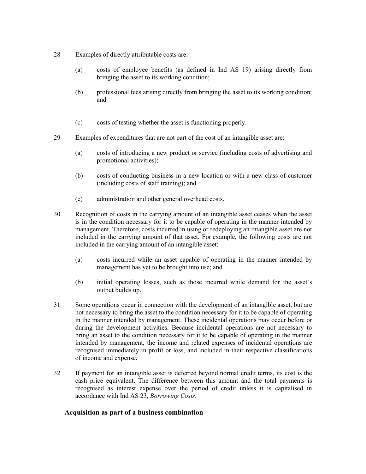- 28 Examples of directly attributable costs are:
	- (a) costs of employee benefits (as defined in Ind AS 19) arising directly from bringing the asset to its working condition;
	- (b) professional fees arising directly from bringing the asset to its working condition; and
	- (c) costs of testing whether the asset is functioning properly.
- 29 Examples of expenditures that are not part of the cost of an intangible asset are:
	- (a) costs of introducing a new product or service (including costs of advertising and promotional activities);
	- (b) costs of conducting business in a new location or with a new class of customer (including costs of staff training); and
	- (c) administration and other general overhead costs.
- 30 Recognition of costs in the carrying amount of an intangible asset ceases when the asset is in the condition necessary for it to be capable of operating in the manner intended by management. Therefore, costs incurred in using or redeploying an intangible asset are not included in the carrying amount of that asset. For example, the following costs are not included in the carrying amount of an intangible asset:
	- (a) costs incurred while an asset capable of operating in the manner intended by management has yet to be brought into use; and
	- (b) initial operating losses, such as those incurred while demand for the asset's output builds up.
- 31 Some operations occur in connection with the development of an intangible asset, but are not necessary to bring the asset to the condition necessary for it to be capable of operating in the manner intended by management. These incidental operations may occur before or during the development activities. Because incidental operations are not necessary to bring an asset to the condition necessary for it to be capable of operating in the manner intended by management, the income and related expenses of incidental operations are recognised immediately in profit or loss, and included in their respective classifications of income and expense.
- 32 If payment for an intangible asset is deferred beyond normal credit terms, its cost is the cash price equivalent. The difference between this amount and the total payments is recognised as interest expense over the period of credit unless it is capitalised in accordance with Ind AS 23, *Borrowing Costs*.

#### Acquisition as part of a business combination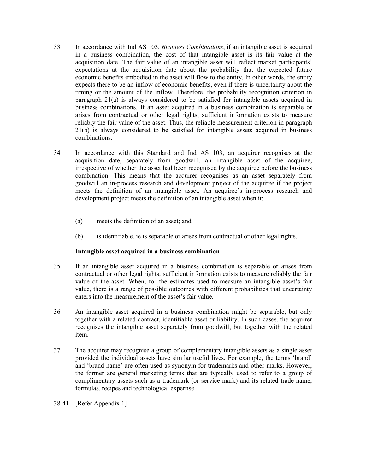- 33 In accordance with Ind AS 103, *Business Combinations*, if an intangible asset is acquired in a business combination, the cost of that intangible asset is its fair value at the acquisition date. The fair value of an intangible asset will reflect market participants' expectations at the acquisition date about the probability that the expected future economic benefits embodied in the asset will flow to the entity. In other words, the entity expects there to be an inflow of economic benefits, even if there is uncertainty about the timing or the amount of the inflow. Therefore, the probability recognition criterion in paragraph 21(a) is always considered to be satisfied for intangible assets acquired in business combinations. If an asset acquired in a business combination is separable or arises from contractual or other legal rights, sufficient information exists to measure reliably the fair value of the asset. Thus, the reliable measurement criterion in paragraph 21(b) is always considered to be satisfied for intangible assets acquired in business combinations.
- 34 In accordance with this Standard and Ind AS 103, an acquirer recognises at the acquisition date, separately from goodwill, an intangible asset of the acquiree, irrespective of whether the asset had been recognised by the acquiree before the business combination. This means that the acquirer recognises as an asset separately from goodwill an in-process research and development project of the acquiree if the project meets the definition of an intangible asset. An acquiree's in-process research and development project meets the definition of an intangible asset when it:
	- (a) meets the definition of an asset; and
	- (b) is identifiable, ie is separable or arises from contractual or other legal rights.

#### Intangible asset acquired in a business combination

- 35 If an intangible asset acquired in a business combination is separable or arises from contractual or other legal rights, sufficient information exists to measure reliably the fair value of the asset. When, for the estimates used to measure an intangible asset's fair value, there is a range of possible outcomes with different probabilities that uncertainty enters into the measurement of the asset's fair value.
- 36 An intangible asset acquired in a business combination might be separable, but only together with a related contract, identifiable asset or liability. In such cases, the acquirer recognises the intangible asset separately from goodwill, but together with the related item.
- 37 The acquirer may recognise a group of complementary intangible assets as a single asset provided the individual assets have similar useful lives. For example, the terms 'brand' and 'brand name' are often used as synonym for trademarks and other marks. However, the former are general marketing terms that are typically used to refer to a group of complimentary assets such as a trademark (or service mark) and its related trade name, formulas, recipes and technological expertise.
- 38-41 [Refer Appendix 1]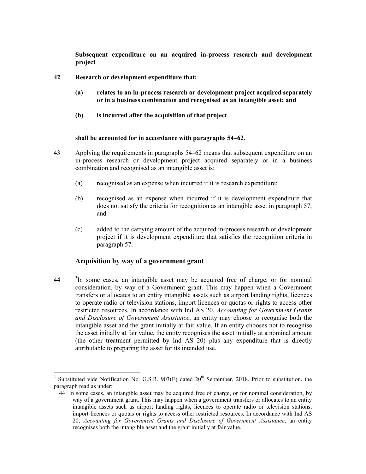Subsequent expenditure on an acquired in-process research and development project

- 42 Research or development expenditure that:
	- (a) relates to an in-process research or development project acquired separately or in a business combination and recognised as an intangible asset; and
	- (b) is incurred after the acquisition of that project

#### shall be accounted for in accordance with paragraphs 54–62.

- 43 Applying the requirements in paragraphs 54–62 means that subsequent expenditure on an in-process research or development project acquired separately or in a business combination and recognised as an intangible asset is:
	- (a) recognised as an expense when incurred if it is research expenditure;
	- (b) recognised as an expense when incurred if it is development expenditure that does not satisfy the criteria for recognition as an intangible asset in paragraph 57; and
	- (c) added to the carrying amount of the acquired in-process research or development project if it is development expenditure that satisfies the recognition criteria in paragraph 57.

#### Acquisition by way of a government grant

44 <sup>3</sup>In some cases, an intangible asset may be acquired free of charge, or for nominal consideration, by way of a Government grant. This may happen when a Government transfers or allocates to an entity intangible assets such as airport landing rights, licences to operate radio or television stations, import licences or quotas or rights to access other restricted resources. In accordance with Ind AS 20, *Accounting for Government Grants and Disclosure of Government Assistance*, an entity may choose to recognise both the intangible asset and the grant initially at fair value. If an entity chooses not to recognise the asset initially at fair value, the entity recognises the asset initially at a nominal amount (the other treatment permitted by Ind AS 20) plus any expenditure that is directly attributable to preparing the asset for its intended use.

Substituted vide Notification No. G.S.R. 903(E) dated  $20<sup>th</sup>$  September, 2018. Prior to substitution, the paragraph read as under:

<sup>44</sup> In some cases, an intangible asset may be acquired free of charge, or for nominal consideration, by way of a government grant. This may happen when a government transfers or allocates to an entity intangible assets such as airport landing rights, licences to operate radio or television stations, import licences or quotas or rights to access other restricted resources. In accordance with Ind AS 20, *Accounting for Government Grants and Disclosure of Government Assistance*, an entity recognises both the intangible asset and the grant initially at fair value.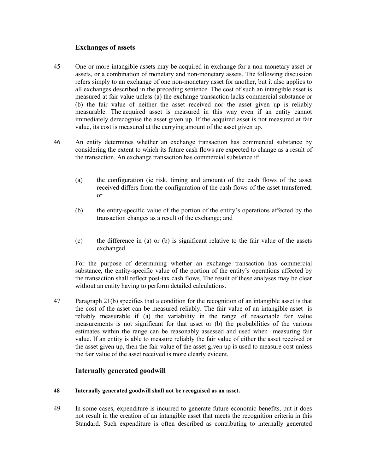## Exchanges of assets

- 45 One or more intangible assets may be acquired in exchange for a non-monetary asset or assets, or a combination of monetary and non-monetary assets. The following discussion refers simply to an exchange of one non-monetary asset for another, but it also applies to all exchanges described in the preceding sentence. The cost of such an intangible asset is measured at fair value unless (a) the exchange transaction lacks commercial substance or (b) the fair value of neither the asset received nor the asset given up is reliably measurable. The acquired asset is measured in this way even if an entity cannot immediately derecognise the asset given up. If the acquired asset is not measured at fair value, its cost is measured at the carrying amount of the asset given up.
- 46 An entity determines whether an exchange transaction has commercial substance by considering the extent to which its future cash flows are expected to change as a result of the transaction. An exchange transaction has commercial substance if:
	- (a) the configuration (ie risk, timing and amount) of the cash flows of the asset received differs from the configuration of the cash flows of the asset transferred; or
	- (b) the entity-specific value of the portion of the entity's operations affected by the transaction changes as a result of the exchange; and
	- (c) the difference in (a) or (b) is significant relative to the fair value of the assets exchanged.

For the purpose of determining whether an exchange transaction has commercial substance, the entity-specific value of the portion of the entity's operations affected by the transaction shall reflect post-tax cash flows. The result of these analyses may be clear without an entity having to perform detailed calculations.

47 Paragraph 21(b) specifies that a condition for the recognition of an intangible asset is that the cost of the asset can be measured reliably. The fair value of an intangible asset is reliably measurable if (a) the variability in the range of reasonable fair value measurements is not significant for that asset or (b) the probabilities of the various estimates within the range can be reasonably assessed and used when measuring fair value. If an entity is able to measure reliably the fair value of either the asset received or the asset given up, then the fair value of the asset given up is used to measure cost unless the fair value of the asset received is more clearly evident.

#### Internally generated goodwill

#### 48 Internally generated goodwill shall not be recognised as an asset.

49 In some cases, expenditure is incurred to generate future economic benefits, but it does not result in the creation of an intangible asset that meets the recognition criteria in this Standard. Such expenditure is often described as contributing to internally generated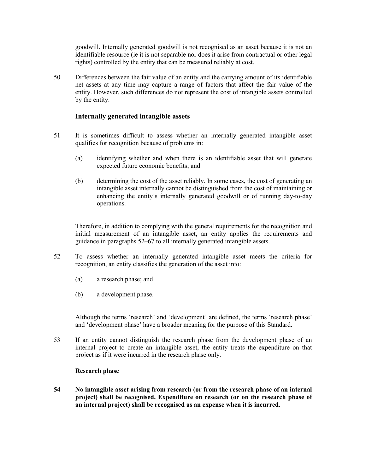goodwill. Internally generated goodwill is not recognised as an asset because it is not an identifiable resource (ie it is not separable nor does it arise from contractual or other legal rights) controlled by the entity that can be measured reliably at cost.

50 Differences between the fair value of an entity and the carrying amount of its identifiable net assets at any time may capture a range of factors that affect the fair value of the entity. However, such differences do not represent the cost of intangible assets controlled by the entity.

#### Internally generated intangible assets

- 51 It is sometimes difficult to assess whether an internally generated intangible asset qualifies for recognition because of problems in:
	- (a) identifying whether and when there is an identifiable asset that will generate expected future economic benefits; and
	- (b) determining the cost of the asset reliably. In some cases, the cost of generating an intangible asset internally cannot be distinguished from the cost of maintaining or enhancing the entity's internally generated goodwill or of running day-to-day operations.

Therefore, in addition to complying with the general requirements for the recognition and initial measurement of an intangible asset, an entity applies the requirements and guidance in paragraphs 52–67 to all internally generated intangible assets.

- 52 To assess whether an internally generated intangible asset meets the criteria for recognition, an entity classifies the generation of the asset into:
	- (a) a research phase; and
	- (b) a development phase.

Although the terms 'research' and 'development' are defined, the terms 'research phase' and 'development phase' have a broader meaning for the purpose of this Standard.

53 If an entity cannot distinguish the research phase from the development phase of an internal project to create an intangible asset, the entity treats the expenditure on that project as if it were incurred in the research phase only.

#### Research phase

54 No intangible asset arising from research (or from the research phase of an internal project) shall be recognised. Expenditure on research (or on the research phase of an internal project) shall be recognised as an expense when it is incurred.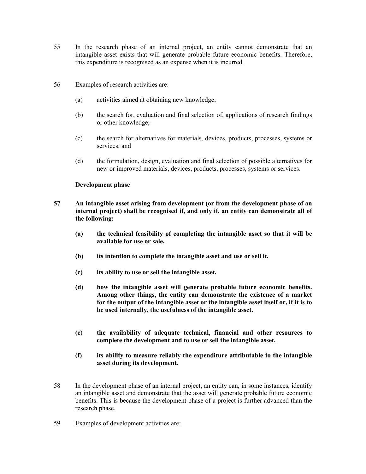- 55 In the research phase of an internal project, an entity cannot demonstrate that an intangible asset exists that will generate probable future economic benefits. Therefore, this expenditure is recognised as an expense when it is incurred.
- 56 Examples of research activities are:
	- (a) activities aimed at obtaining new knowledge;
	- (b) the search for, evaluation and final selection of, applications of research findings or other knowledge;
	- (c) the search for alternatives for materials, devices, products, processes, systems or services; and
	- (d) the formulation, design, evaluation and final selection of possible alternatives for new or improved materials, devices, products, processes, systems or services.

#### Development phase

- 57 An intangible asset arising from development (or from the development phase of an internal project) shall be recognised if, and only if, an entity can demonstrate all of the following:
	- (a) the technical feasibility of completing the intangible asset so that it will be available for use or sale.
	- (b) its intention to complete the intangible asset and use or sell it.
	- (c) its ability to use or sell the intangible asset.
	- (d) how the intangible asset will generate probable future economic benefits. Among other things, the entity can demonstrate the existence of a market for the output of the intangible asset or the intangible asset itself or, if it is to be used internally, the usefulness of the intangible asset.
	- (e) the availability of adequate technical, financial and other resources to complete the development and to use or sell the intangible asset.
	- (f) its ability to measure reliably the expenditure attributable to the intangible asset during its development.
- 58 In the development phase of an internal project, an entity can, in some instances, identify an intangible asset and demonstrate that the asset will generate probable future economic benefits. This is because the development phase of a project is further advanced than the research phase.
- 59 Examples of development activities are: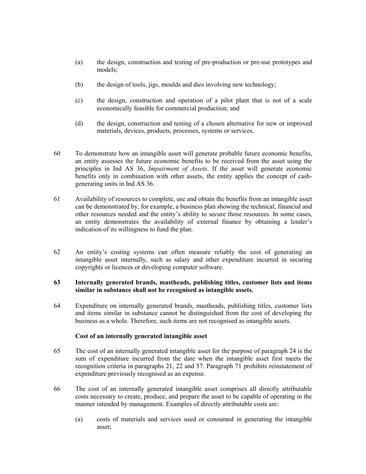- (a) the design, construction and testing of pre-production or pre-use prototypes and models;
- (b) the design of tools, jigs, moulds and dies involving new technology;
- (c) the design, construction and operation of a pilot plant that is not of a scale economically feasible for commercial production; and
- (d) the design, construction and testing of a chosen alternative for new or improved materials, devices, products, processes, systems or services.
- 60 To demonstrate how an intangible asset will generate probable future economic benefits, an entity assesses the future economic benefits to be received from the asset using the principles in Ind AS 36, *Impairment of Assets*. If the asset will generate economic benefits only in combination with other assets, the entity applies the concept of cashgenerating units in Ind AS 36.
- 61 Availability of resources to complete, use and obtain the benefits from an intangible asset can be demonstrated by, for example, a business plan showing the technical, financial and other resources needed and the entity's ability to secure those resources. In some cases, an entity demonstrates the availability of external finance by obtaining a lender's indication of its willingness to fund the plan.
- 62 An entity's costing systems can often measure reliably the cost of generating an intangible asset internally, such as salary and other expenditure incurred in securing copyrights or licences or developing computer software.

#### 63 Internally generated brands, mastheads, publishing titles, customer lists and items similar in substance shall not be recognised as intangible assets.

64 Expenditure on internally generated brands, mastheads, publishing titles, customer lists and items similar in substance cannot be distinguished from the cost of developing the business as a whole. Therefore, such items are not recognised as intangible assets.

#### Cost of an internally generated intangible asset

- 65 The cost of an internally generated intangible asset for the purpose of paragraph 24 is the sum of expenditure incurred from the date when the intangible asset first meets the recognition criteria in paragraphs 21, 22 and 57. Paragraph 71 prohibits reinstatement of expenditure previously recognised as an expense.
- 66 The cost of an internally generated intangible asset comprises all directly attributable costs necessary to create, produce, and prepare the asset to be capable of operating in the manner intended by management. Examples of directly attributable costs are:
	- (a) costs of materials and services used or consumed in generating the intangible asset;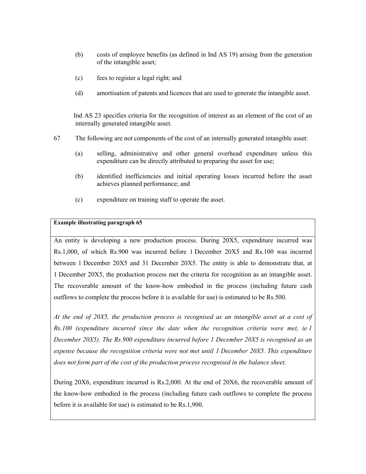- (b) costs of employee benefits (as defined in Ind AS 19) arising from the generation of the intangible asset;
- (c) fees to register a legal right; and
- (d) amortisation of patents and licences that are used to generate the intangible asset.

 Ind AS 23 specifies criteria for the recognition of interest as an element of the cost of an internally generated intangible asset.

- 67 The following are not components of the cost of an internally generated intangible asset:
	- (a) selling, administrative and other general overhead expenditure unless this expenditure can be directly attributed to preparing the asset for use;
	- (b) identified inefficiencies and initial operating losses incurred before the asset achieves planned performance; and
	- (c) expenditure on training staff to operate the asset.

#### Example illustrating paragraph 65

An entity is developing a new production process. During 20X5, expenditure incurred was Rs.1,000, of which Rs.900 was incurred before 1 December 20X5 and Rs.100 was incurred between 1 December 20X5 and 31 December 20X5. The entity is able to demonstrate that, at 1 December 20X5, the production process met the criteria for recognition as an intangible asset. The recoverable amount of the know-how embodied in the process (including future cash outflows to complete the process before it is available for use) is estimated to be Rs.500.

*At the end of 20X5, the production process is recognised as an intangible asset at a cost of Rs.100 (expenditure incurred since the date when the recognition criteria were met, ie 1 December 20X5). The Rs.900 expenditure incurred before 1 December 20X5 is recognised as an expense because the recognition criteria were not met until 1 December 20X5. This expenditure does not form part of the cost of the production process recognised in the balance sheet.*

During 20X6, expenditure incurred is Rs.2,000. At the end of 20X6, the recoverable amount of the know-how embodied in the process (including future cash outflows to complete the process before it is available for use) is estimated to be Rs.1,900.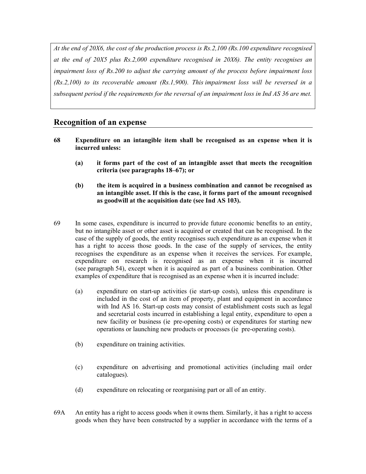*At the end of 20X6, the cost of the production process is Rs.2,100 (Rs.100 expenditure recognised at the end of 20X5 plus Rs.2,000 expenditure recognised in 20X6). The entity recognises an impairment loss of Rs.200 to adjust the carrying amount of the process before impairment loss (Rs.2,100) to its recoverable amount (Rs.1,900). This impairment loss will be reversed in a subsequent period if the requirements for the reversal of an impairment loss in Ind AS 36 are met.*

## Recognition of an expense

- 68 Expenditure on an intangible item shall be recognised as an expense when it is incurred unless:
	- (a) it forms part of the cost of an intangible asset that meets the recognition criteria (see paragraphs 18–67); or
	- (b) the item is acquired in a business combination and cannot be recognised as an intangible asset. If this is the case, it forms part of the amount recognised as goodwill at the acquisition date (see Ind AS 103).
- 69 In some cases, expenditure is incurred to provide future economic benefits to an entity, but no intangible asset or other asset is acquired or created that can be recognised. In the case of the supply of goods, the entity recognises such expenditure as an expense when it has a right to access those goods. In the case of the supply of services, the entity recognises the expenditure as an expense when it receives the services. For example, expenditure on research is recognised as an expense when it is incurred (see paragraph 54), except when it is acquired as part of a business combination. Other examples of expenditure that is recognised as an expense when it is incurred include:
	- (a) expenditure on start-up activities (ie start-up costs), unless this expenditure is included in the cost of an item of property, plant and equipment in accordance with Ind AS 16. Start-up costs may consist of establishment costs such as legal and secretarial costs incurred in establishing a legal entity, expenditure to open a new facility or business (ie pre-opening costs) or expenditures for starting new operations or launching new products or processes (ie pre-operating costs).
	- (b) expenditure on training activities.
	- (c) expenditure on advertising and promotional activities (including mail order catalogues).
	- (d) expenditure on relocating or reorganising part or all of an entity.
- 69A An entity has a right to access goods when it owns them. Similarly, it has a right to access goods when they have been constructed by a supplier in accordance with the terms of a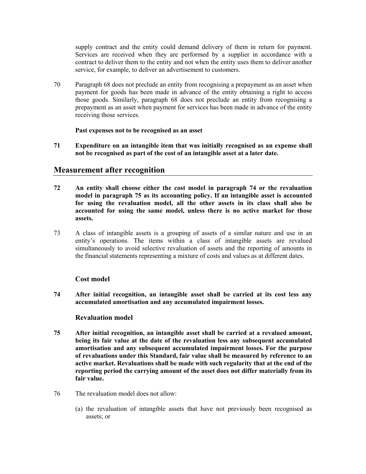supply contract and the entity could demand delivery of them in return for payment. Services are received when they are performed by a supplier in accordance with a contract to deliver them to the entity and not when the entity uses them to deliver another service, for example, to deliver an advertisement to customers.

70 Paragraph 68 does not preclude an entity from recognising a prepayment as an asset when payment for goods has been made in advance of the entity obtaining a right to access those goods. Similarly, paragraph 68 does not preclude an entity from recognising a prepayment as an asset when payment for services has been made in advance of the entity receiving those services.

#### Past expenses not to be recognised as an asset

71 Expenditure on an intangible item that was initially recognised as an expense shall not be recognised as part of the cost of an intangible asset at a later date.

## Measurement after recognition

- 72 An entity shall choose either the cost model in paragraph 74 or the revaluation model in paragraph 75 as its accounting policy. If an intangible asset is accounted for using the revaluation model, all the other assets in its class shall also be accounted for using the same model, unless there is no active market for those assets.
- 73 A class of intangible assets is a grouping of assets of a similar nature and use in an entity's operations. The items within a class of intangible assets are revalued simultaneously to avoid selective revaluation of assets and the reporting of amounts in the financial statements representing a mixture of costs and values as at different dates.

#### Cost model

74 After initial recognition, an intangible asset shall be carried at its cost less any accumulated amortisation and any accumulated impairment losses.

#### Revaluation model

- 75 After initial recognition, an intangible asset shall be carried at a revalued amount, being its fair value at the date of the revaluation less any subsequent accumulated amortisation and any subsequent accumulated impairment losses. For the purpose of revaluations under this Standard, fair value shall be measured by reference to an active market. Revaluations shall be made with such regularity that at the end of the reporting period the carrying amount of the asset does not differ materially from its fair value.
- 76 The revaluation model does not allow:
	- (a) the revaluation of intangible assets that have not previously been recognised as assets; or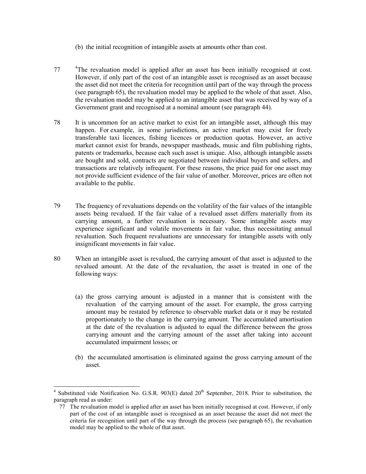- (b) the initial recognition of intangible assets at amounts other than cost.
- 77 <sup>4</sup>The revaluation model is applied after an asset has been initially recognised at cost. However, if only part of the cost of an intangible asset is recognised as an asset because the asset did not meet the criteria for recognition until part of the way through the process (see paragraph 65), the revaluation model may be applied to the whole of that asset. Also, the revaluation model may be applied to an intangible asset that was received by way of a Government grant and recognised at a nominal amount (see paragraph 44).
- 78 It is uncommon for an active market to exist for an intangible asset, although this may happen. For example, in some jurisdictions, an active market may exist for freely transferable taxi licences, fishing licences or production quotas. However, an active market cannot exist for brands, newspaper mastheads, music and film publishing rights, patents or trademarks, because each such asset is unique. Also, although intangible assets are bought and sold, contracts are negotiated between individual buyers and sellers, and transactions are relatively infrequent. For these reasons, the price paid for one asset may not provide sufficient evidence of the fair value of another. Moreover, prices are often not available to the public.
- 79 The frequency of revaluations depends on the volatility of the fair values of the intangible assets being revalued. If the fair value of a revalued asset differs materially from its carrying amount, a further revaluation is necessary. Some intangible assets may experience significant and volatile movements in fair value, thus necessitating annual revaluation. Such frequent revaluations are unnecessary for intangible assets with only insignificant movements in fair value.
- 80 When an intangible asset is revalued, the carrying amount of that asset is adjusted to the revalued amount. At the date of the revaluation, the asset is treated in one of the following ways:
	- (a) the gross carrying amount is adjusted in a manner that is consistent with the revaluation of the carrying amount of the asset. For example, the gross carrying amount may be restated by reference to observable market data or it may be restated proportionately to the change in the carrying amount. The accumulated amortisation at the date of the revaluation is adjusted to equal the difference between the gross carrying amount and the carrying amount of the asset after taking into account accumulated impairment losses; or
	- (b) the accumulated amortisation is eliminated against the gross carrying amount of the asset.

 $4$  Substituted vide Notification No. G.S.R. 903(E) dated  $20<sup>th</sup>$  September, 2018. Prior to substitution, the paragraph read as under:

<sup>77</sup> The revaluation model is applied after an asset has been initially recognised at cost. However, if only part of the cost of an intangible asset is recognised as an asset because the asset did not meet the criteria for recognition until part of the way through the process (see paragraph 65), the revaluation model may be applied to the whole of that asset.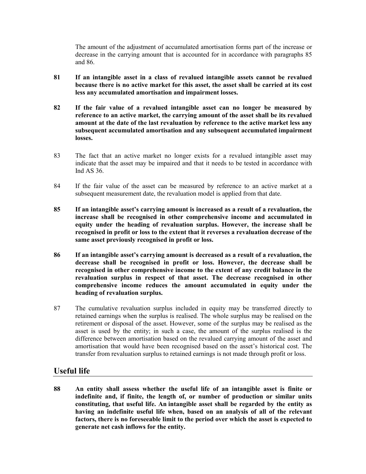The amount of the adjustment of accumulated amortisation forms part of the increase or decrease in the carrying amount that is accounted for in accordance with paragraphs 85 and 86.

- 81 If an intangible asset in a class of revalued intangible assets cannot be revalued because there is no active market for this asset, the asset shall be carried at its cost less any accumulated amortisation and impairment losses.
- 82 If the fair value of a revalued intangible asset can no longer be measured by reference to an active market, the carrying amount of the asset shall be its revalued amount at the date of the last revaluation by reference to the active market less any subsequent accumulated amortisation and any subsequent accumulated impairment losses.
- 83 The fact that an active market no longer exists for a revalued intangible asset may indicate that the asset may be impaired and that it needs to be tested in accordance with Ind AS 36.
- 84 If the fair value of the asset can be measured by reference to an active market at a subsequent measurement date, the revaluation model is applied from that date.
- 85 If an intangible asset's carrying amount is increased as a result of a revaluation, the increase shall be recognised in other comprehensive income and accumulated in equity under the heading of revaluation surplus. However, the increase shall be recognised in profit or loss to the extent that it reverses a revaluation decrease of the same asset previously recognised in profit or loss.
- 86 If an intangible asset's carrying amount is decreased as a result of a revaluation, the decrease shall be recognised in profit or loss. However, the decrease shall be recognised in other comprehensive income to the extent of any credit balance in the revaluation surplus in respect of that asset. The decrease recognised in other comprehensive income reduces the amount accumulated in equity under the heading of revaluation surplus.
- 87 The cumulative revaluation surplus included in equity may be transferred directly to retained earnings when the surplus is realised. The whole surplus may be realised on the retirement or disposal of the asset. However, some of the surplus may be realised as the asset is used by the entity; in such a case, the amount of the surplus realised is the difference between amortisation based on the revalued carrying amount of the asset and amortisation that would have been recognised based on the asset's historical cost. The transfer from revaluation surplus to retained earnings is not made through profit or loss.

## Useful life

88 An entity shall assess whether the useful life of an intangible asset is finite or indefinite and, if finite, the length of, or number of production or similar units constituting, that useful life. An intangible asset shall be regarded by the entity as having an indefinite useful life when, based on an analysis of all of the relevant factors, there is no foreseeable limit to the period over which the asset is expected to generate net cash inflows for the entity.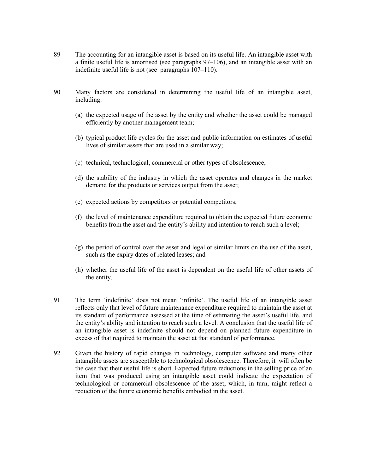- 89 The accounting for an intangible asset is based on its useful life. An intangible asset with a finite useful life is amortised (see paragraphs 97–106), and an intangible asset with an indefinite useful life is not (see paragraphs 107–110).
- 90 Many factors are considered in determining the useful life of an intangible asset, including:
	- (a) the expected usage of the asset by the entity and whether the asset could be managed efficiently by another management team;
	- (b) typical product life cycles for the asset and public information on estimates of useful lives of similar assets that are used in a similar way;
	- (c) technical, technological, commercial or other types of obsolescence;
	- (d) the stability of the industry in which the asset operates and changes in the market demand for the products or services output from the asset;
	- (e) expected actions by competitors or potential competitors;
	- (f) the level of maintenance expenditure required to obtain the expected future economic benefits from the asset and the entity's ability and intention to reach such a level;
	- (g) the period of control over the asset and legal or similar limits on the use of the asset, such as the expiry dates of related leases; and
	- (h) whether the useful life of the asset is dependent on the useful life of other assets of the entity.
- 91 The term 'indefinite' does not mean 'infinite'. The useful life of an intangible asset reflects only that level of future maintenance expenditure required to maintain the asset at its standard of performance assessed at the time of estimating the asset's useful life, and the entity's ability and intention to reach such a level. A conclusion that the useful life of an intangible asset is indefinite should not depend on planned future expenditure in excess of that required to maintain the asset at that standard of performance.
- 92 Given the history of rapid changes in technology, computer software and many other intangible assets are susceptible to technological obsolescence. Therefore, it will often be the case that their useful life is short. Expected future reductions in the selling price of an item that was produced using an intangible asset could indicate the expectation of technological or commercial obsolescence of the asset, which, in turn, might reflect a reduction of the future economic benefits embodied in the asset.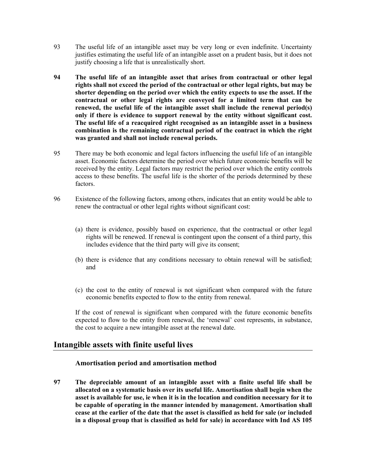- 93 The useful life of an intangible asset may be very long or even indefinite. Uncertainty justifies estimating the useful life of an intangible asset on a prudent basis, but it does not justify choosing a life that is unrealistically short.
- 94 The useful life of an intangible asset that arises from contractual or other legal rights shall not exceed the period of the contractual or other legal rights, but may be shorter depending on the period over which the entity expects to use the asset. If the contractual or other legal rights are conveyed for a limited term that can be renewed, the useful life of the intangible asset shall include the renewal period(s) only if there is evidence to support renewal by the entity without significant cost. The useful life of a reacquired right recognised as an intangible asset in a business combination is the remaining contractual period of the contract in which the right was granted and shall not include renewal periods.
- 95 There may be both economic and legal factors influencing the useful life of an intangible asset. Economic factors determine the period over which future economic benefits will be received by the entity. Legal factors may restrict the period over which the entity controls access to these benefits. The useful life is the shorter of the periods determined by these factors.
- 96 Existence of the following factors, among others, indicates that an entity would be able to renew the contractual or other legal rights without significant cost:
	- (a) there is evidence, possibly based on experience, that the contractual or other legal rights will be renewed. If renewal is contingent upon the consent of a third party, this includes evidence that the third party will give its consent;
	- (b) there is evidence that any conditions necessary to obtain renewal will be satisfied; and
	- (c) the cost to the entity of renewal is not significant when compared with the future economic benefits expected to flow to the entity from renewal.

If the cost of renewal is significant when compared with the future economic benefits expected to flow to the entity from renewal, the 'renewal' cost represents, in substance, the cost to acquire a new intangible asset at the renewal date.

## Intangible assets with finite useful lives

#### Amortisation period and amortisation method

97 The depreciable amount of an intangible asset with a finite useful life shall be allocated on a systematic basis over its useful life. Amortisation shall begin when the asset is available for use, ie when it is in the location and condition necessary for it to be capable of operating in the manner intended by management. Amortisation shall cease at the earlier of the date that the asset is classified as held for sale (or included in a disposal group that is classified as held for sale) in accordance with Ind AS 105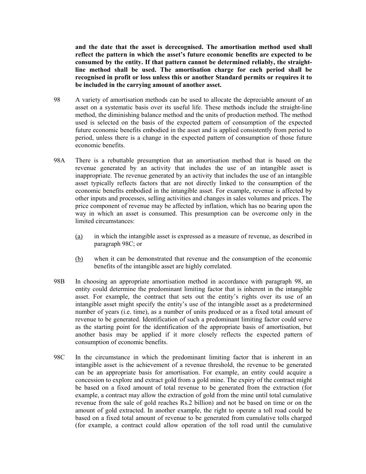and the date that the asset is derecognised. The amortisation method used shall reflect the pattern in which the asset's future economic benefits are expected to be consumed by the entity. If that pattern cannot be determined reliably, the straightline method shall be used. The amortisation charge for each period shall be recognised in profit or loss unless this or another Standard permits or requires it to be included in the carrying amount of another asset.

- 98 A variety of amortisation methods can be used to allocate the depreciable amount of an asset on a systematic basis over its useful life. These methods include the straight-line method, the diminishing balance method and the units of production method. The method used is selected on the basis of the expected pattern of consumption of the expected future economic benefits embodied in the asset and is applied consistently from period to period, unless there is a change in the expected pattern of consumption of those future economic benefits.
- 98A There is a rebuttable presumption that an amortisation method that is based on the revenue generated by an activity that includes the use of an intangible asset is inappropriate. The revenue generated by an activity that includes the use of an intangible asset typically reflects factors that are not directly linked to the consumption of the economic benefits embodied in the intangible asset. For example, revenue is affected by other inputs and processes, selling activities and changes in sales volumes and prices. The price component of revenue may be affected by inflation, which has no bearing upon the way in which an asset is consumed. This presumption can be overcome only in the limited circumstances:
	- (a) in which the intangible asset is expressed as a measure of revenue, as described in paragraph 98C; or
	- (b) when it can be demonstrated that revenue and the consumption of the economic benefits of the intangible asset are highly correlated.
- 98B In choosing an appropriate amortisation method in accordance with paragraph 98, an entity could determine the predominant limiting factor that is inherent in the intangible asset. For example, the contract that sets out the entity's rights over its use of an intangible asset might specify the entity's use of the intangible asset as a predetermined number of years (i.e. time), as a number of units produced or as a fixed total amount of revenue to be generated. Identification of such a predominant limiting factor could serve as the starting point for the identification of the appropriate basis of amortisation, but another basis may be applied if it more closely reflects the expected pattern of consumption of economic benefits.
- 98C In the circumstance in which the predominant limiting factor that is inherent in an intangible asset is the achievement of a revenue threshold, the revenue to be generated can be an appropriate basis for amortisation. For example, an entity could acquire a concession to explore and extract gold from a gold mine. The expiry of the contract might be based on a fixed amount of total revenue to be generated from the extraction (for example, a contract may allow the extraction of gold from the mine until total cumulative revenue from the sale of gold reaches Rs.2 billion) and not be based on time or on the amount of gold extracted. In another example, the right to operate a toll road could be based on a fixed total amount of revenue to be generated from cumulative tolls charged (for example, a contract could allow operation of the toll road until the cumulative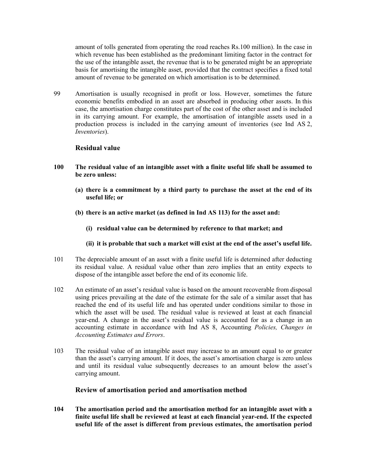amount of tolls generated from operating the road reaches Rs.100 million). In the case in which revenue has been established as the predominant limiting factor in the contract for the use of the intangible asset, the revenue that is to be generated might be an appropriate basis for amortising the intangible asset, provided that the contract specifies a fixed total amount of revenue to be generated on which amortisation is to be determined.

99 Amortisation is usually recognised in profit or loss. However, sometimes the future economic benefits embodied in an asset are absorbed in producing other assets. In this case, the amortisation charge constitutes part of the cost of the other asset and is included in its carrying amount. For example, the amortisation of intangible assets used in a production process is included in the carrying amount of inventories (see Ind AS 2, *Inventories*).

## Residual value

- 100 The residual value of an intangible asset with a finite useful life shall be assumed to be zero unless:
	- (a) there is a commitment by a third party to purchase the asset at the end of its useful life; or
	- (b) there is an active market (as defined in Ind AS 113) for the asset and:
		- (i) residual value can be determined by reference to that market; and
		- (ii) it is probable that such a market will exist at the end of the asset's useful life.
- 101 The depreciable amount of an asset with a finite useful life is determined after deducting its residual value. A residual value other than zero implies that an entity expects to dispose of the intangible asset before the end of its economic life.
- 102 An estimate of an asset's residual value is based on the amount recoverable from disposal using prices prevailing at the date of the estimate for the sale of a similar asset that has reached the end of its useful life and has operated under conditions similar to those in which the asset will be used. The residual value is reviewed at least at each financial year-end. A change in the asset's residual value is accounted for as a change in an accounting estimate in accordance with Ind AS 8, Accounting *Policies, Changes in Accounting Estimates and Errors*.
- 103 The residual value of an intangible asset may increase to an amount equal to or greater than the asset's carrying amount. If it does, the asset's amortisation charge is zero unless and until its residual value subsequently decreases to an amount below the asset's carrying amount.

## Review of amortisation period and amortisation method

104 The amortisation period and the amortisation method for an intangible asset with a finite useful life shall be reviewed at least at each financial year-end. If the expected useful life of the asset is different from previous estimates, the amortisation period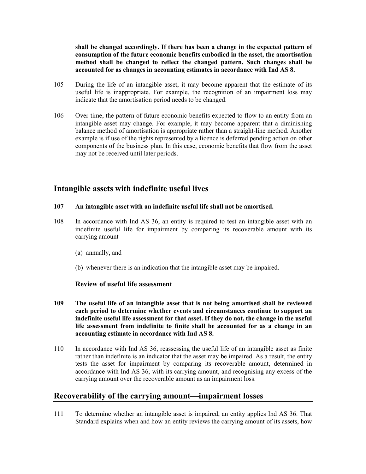shall be changed accordingly. If there has been a change in the expected pattern of consumption of the future economic benefits embodied in the asset, the amortisation method shall be changed to reflect the changed pattern. Such changes shall be accounted for as changes in accounting estimates in accordance with Ind AS 8.

- 105 During the life of an intangible asset, it may become apparent that the estimate of its useful life is inappropriate. For example, the recognition of an impairment loss may indicate that the amortisation period needs to be changed.
- 106 Over time, the pattern of future economic benefits expected to flow to an entity from an intangible asset may change. For example, it may become apparent that a diminishing balance method of amortisation is appropriate rather than a straight-line method. Another example is if use of the rights represented by a licence is deferred pending action on other components of the business plan. In this case, economic benefits that flow from the asset may not be received until later periods.

## Intangible assets with indefinite useful lives

- 107 An intangible asset with an indefinite useful life shall not be amortised.
- 108 In accordance with Ind AS 36, an entity is required to test an intangible asset with an indefinite useful life for impairment by comparing its recoverable amount with its carrying amount
	- (a) annually, and
	- (b) whenever there is an indication that the intangible asset may be impaired.

#### Review of useful life assessment

- 109 The useful life of an intangible asset that is not being amortised shall be reviewed each period to determine whether events and circumstances continue to support an indefinite useful life assessment for that asset. If they do not, the change in the useful life assessment from indefinite to finite shall be accounted for as a change in an accounting estimate in accordance with Ind AS 8.
- 110 In accordance with Ind AS 36, reassessing the useful life of an intangible asset as finite rather than indefinite is an indicator that the asset may be impaired. As a result, the entity tests the asset for impairment by comparing its recoverable amount, determined in accordance with Ind AS 36, with its carrying amount, and recognising any excess of the carrying amount over the recoverable amount as an impairment loss.

## Recoverability of the carrying amount—impairment losses

111 To determine whether an intangible asset is impaired, an entity applies Ind AS 36. That Standard explains when and how an entity reviews the carrying amount of its assets, how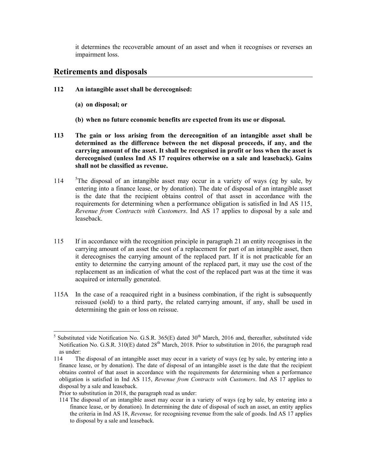it determines the recoverable amount of an asset and when it recognises or reverses an impairment loss.

## Retirements and disposals

- 112 An intangible asset shall be derecognised:
	- (a) on disposal; or
	- (b) when no future economic benefits are expected from its use or disposal.
- 113 The gain or loss arising from the derecognition of an intangible asset shall be determined as the difference between the net disposal proceeds, if any, and the carrying amount of the asset. It shall be recognised in profit or loss when the asset is derecognised (unless Ind AS 17 requires otherwise on a sale and leaseback). Gains shall not be classified as revenue.
- 114 <sup>5</sup>The disposal of an intangible asset may occur in a variety of ways (eg by sale, by entering into a finance lease, or by donation). The date of disposal of an intangible asset is the date that the recipient obtains control of that asset in accordance with the requirements for determining when a performance obligation is satisfied in Ind AS 115, *Revenue from Contracts with Customers*. Ind AS 17 applies to disposal by a sale and leaseback.
- 115 If in accordance with the recognition principle in paragraph 21 an entity recognises in the carrying amount of an asset the cost of a replacement for part of an intangible asset, then it derecognises the carrying amount of the replaced part. If it is not practicable for an entity to determine the carrying amount of the replaced part, it may use the cost of the replacement as an indication of what the cost of the replaced part was at the time it was acquired or internally generated.
- 115A In the case of a reacquired right in a business combination, if the right is subsequently reissued (sold) to a third party, the related carrying amount, if any, shall be used in determining the gain or loss on reissue.

<sup>&</sup>lt;sup>5</sup> Substituted vide Notification No. G.S.R. 365(E) dated  $30<sup>th</sup>$  March, 2016 and, thereafter, substituted vide Notification No. G.S.R. 310(E) dated 28<sup>th</sup> March, 2018. Prior to substitution in 2016, the paragraph read as under:<br>114 Th

The disposal of an intangible asset may occur in a variety of ways (eg by sale, by entering into a finance lease, or by donation). The date of disposal of an intangible asset is the date that the recipient obtains control of that asset in accordance with the requirements for determining when a performance obligation is satisfied in Ind AS 115, *Revenue from Contracts with Customers*. Ind AS 17 applies to disposal by a sale and leaseback.

Prior to substitution in 2018, the paragraph read as under:

<sup>114</sup> The disposal of an intangible asset may occur in a variety of ways (eg by sale, by entering into a finance lease, or by donation). In determining the date of disposal of such an asset, an entity applies the criteria in Ind AS 18, *Revenue,* for recognising revenue from the sale of goods. Ind AS 17 applies to disposal by a sale and leaseback.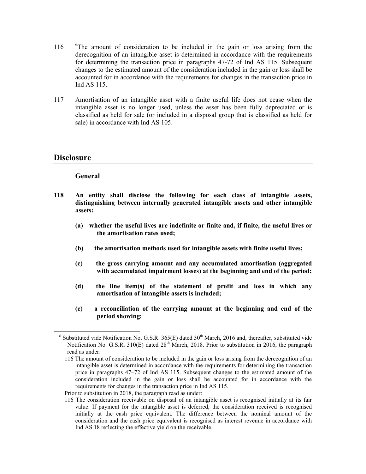- 116 <sup>6</sup>The amount of consideration to be included in the gain or loss arising from the derecognition of an intangible asset is determined in accordance with the requirements for determining the transaction price in paragraphs 47-72 of Ind AS 115. Subsequent changes to the estimated amount of the consideration included in the gain or loss shall be accounted for in accordance with the requirements for changes in the transaction price in Ind AS 115.
- 117 Amortisation of an intangible asset with a finite useful life does not cease when the intangible asset is no longer used, unless the asset has been fully depreciated or is classified as held for sale (or included in a disposal group that is classified as held for sale) in accordance with Ind AS 105.

## **Disclosure**

#### General

- 118 An entity shall disclose the following for each class of intangible assets, distinguishing between internally generated intangible assets and other intangible assets:
	- (a) whether the useful lives are indefinite or finite and, if finite, the useful lives or the amortisation rates used;
	- (b) the amortisation methods used for intangible assets with finite useful lives;
	- (c) the gross carrying amount and any accumulated amortisation (aggregated with accumulated impairment losses) at the beginning and end of the period;
	- (d) the line item(s) of the statement of profit and loss in which any amortisation of intangible assets is included;
	- (e) a reconciliation of the carrying amount at the beginning and end of the period showing:

 $6$  Substituted vide Notification No. G.S.R. 365(E) dated  $30<sup>th</sup>$  March, 2016 and, thereafter, substituted vide Notification No. G.S.R. 310(E) dated 28<sup>th</sup> March, 2018. Prior to substitution in 2016, the paragraph read as under:

<sup>116</sup> The amount of consideration to be included in the gain or loss arising from the derecognition of an intangible asset is determined in accordance with the requirements for determining the transaction price in paragraphs 47–72 of Ind AS 115. Subsequent changes to the estimated amount of the consideration included in the gain or loss shall be accounted for in accordance with the requirements for changes in the transaction price in Ind AS 115.

Prior to substitution in 2018, the paragraph read as under:

<sup>116</sup> The consideration receivable on disposal of an intangible asset is recognised initially at its fair value. If payment for the intangible asset is deferred, the consideration received is recognised initially at the cash price equivalent. The difference between the nominal amount of the consideration and the cash price equivalent is recognised as interest revenue in accordance with Ind AS 18 reflecting the effective yield on the receivable.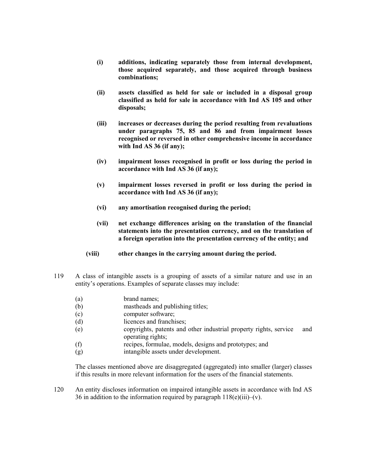- (i) additions, indicating separately those from internal development, those acquired separately, and those acquired through business combinations;
- (ii) assets classified as held for sale or included in a disposal group classified as held for sale in accordance with Ind AS 105 and other disposals;
- (iii) increases or decreases during the period resulting from revaluations under paragraphs 75, 85 and 86 and from impairment losses recognised or reversed in other comprehensive income in accordance with Ind AS 36 (if any);
- (iv) impairment losses recognised in profit or loss during the period in accordance with Ind AS 36 (if any);
- (v) impairment losses reversed in profit or loss during the period in accordance with Ind AS 36 (if any);
- (vi) any amortisation recognised during the period;
- (vii) net exchange differences arising on the translation of the financial statements into the presentation currency, and on the translation of a foreign operation into the presentation currency of the entity; and
- (viii) other changes in the carrying amount during the period.
- 119 A class of intangible assets is a grouping of assets of a similar nature and use in an entity's operations. Examples of separate classes may include:
	- (a) brand names;
	- (b) mastheads and publishing titles;
	- (c) computer software;
	- (d) licences and franchises;
	- (e) copyrights, patents and other industrial property rights, service and operating rights;
	- (f) recipes, formulae, models, designs and prototypes; and
	- (g) intangible assets under development.

The classes mentioned above are disaggregated (aggregated) into smaller (larger) classes if this results in more relevant information for the users of the financial statements.

120 An entity discloses information on impaired intangible assets in accordance with Ind AS 36 in addition to the information required by paragraph  $118(e)(iii)$ –(v).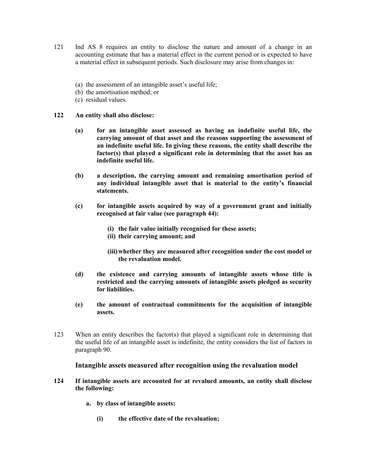- 121 Ind AS 8 requires an entity to disclose the nature and amount of a change in an accounting estimate that has a material effect in the current period or is expected to have a material effect in subsequent periods. Such disclosure may arise from changes in:
	- (a) the assessment of an intangible asset's useful life;
	- (b) the amortisation method; or
	- (c) residual values.

#### 122 An entity shall also disclose:

- (a) for an intangible asset assessed as having an indefinite useful life, the carrying amount of that asset and the reasons supporting the assessment of an indefinite useful life. In giving these reasons, the entity shall describe the factor(s) that played a significant role in determining that the asset has an indefinite useful life.
- (b) a description, the carrying amount and remaining amortisation period of any individual intangible asset that is material to the entity's financial statements.
- (c) for intangible assets acquired by way of a government grant and initially recognised at fair value (see paragraph 44):
	- (i) the fair value initially recognised for these assets;
	- (ii) their carrying amount; and
	- (iii)whether they are measured after recognition under the cost model or the revaluation model.
- (d) the existence and carrying amounts of intangible assets whose title is restricted and the carrying amounts of intangible assets pledged as security for liabilities.
- (e) the amount of contractual commitments for the acquisition of intangible assets.
- 123 When an entity describes the factor(s) that played a significant role in determining that the useful life of an intangible asset is indefinite, the entity considers the list of factors in paragraph 90.

## Intangible assets measured after recognition using the revaluation model

- 124 If intangible assets are accounted for at revalued amounts, an entity shall disclose the following:
	- a. by class of intangible assets:
		- (i) the effective date of the revaluation;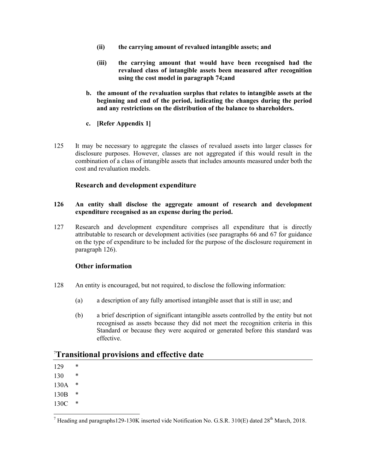- (ii) the carrying amount of revalued intangible assets; and
- (iii) the carrying amount that would have been recognised had the revalued class of intangible assets been measured after recognition using the cost model in paragraph 74;and
- b. the amount of the revaluation surplus that relates to intangible assets at the beginning and end of the period, indicating the changes during the period and any restrictions on the distribution of the balance to shareholders.
- c. [Refer Appendix 1]
- 125 It may be necessary to aggregate the classes of revalued assets into larger classes for disclosure purposes. However, classes are not aggregated if this would result in the combination of a class of intangible assets that includes amounts measured under both the cost and revaluation models.

## Research and development expenditure

#### 126 An entity shall disclose the aggregate amount of research and development expenditure recognised as an expense during the period.

127 Research and development expenditure comprises all expenditure that is directly attributable to research or development activities (see paragraphs 66 and 67 for guidance on the type of expenditure to be included for the purpose of the disclosure requirement in paragraph 126).

#### Other information

- 128 An entity is encouraged, but not required, to disclose the following information:
	- (a) a description of any fully amortised intangible asset that is still in use; and
	- (b) a brief description of significant intangible assets controlled by the entity but not recognised as assets because they did not meet the recognition criteria in this Standard or because they were acquired or generated before this standard was effective.

## 7 Transitional provisions and effective date

- 129 \*
- 130 \*
- 130A \*
- 130B \*
- 130C \*

 $\frac{7}{7}$  Heading and paragraphs129-130K inserted vide Notification No. G.S.R. 310(E) dated 28<sup>th</sup> March, 2018.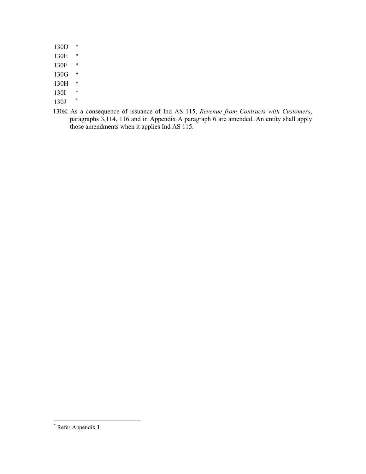130D \*

- 130E \*
- 130F \*
- 130G \*
- 130H \*
- 130I \*
- 130J \*
- 130K As a consequence of issuance of Ind AS 115, *Revenue from Contracts with Customers*, paragraphs 3,114, 116 and in Appendix A paragraph 6 are amended. An entity shall apply those amendments when it applies Ind AS 115.

 <sup>\*</sup> Refer Appendix 1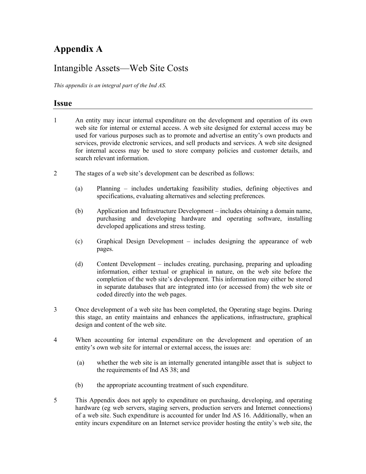# Appendix A

# Intangible Assets—Web Site Costs

*This appendix is an integral part of the Ind AS.*

## Issue

- 1 An entity may incur internal expenditure on the development and operation of its own web site for internal or external access. A web site designed for external access may be used for various purposes such as to promote and advertise an entity's own products and services, provide electronic services, and sell products and services. A web site designed for internal access may be used to store company policies and customer details, and search relevant information.
- 2 The stages of a web site's development can be described as follows:
	- (a) Planning includes undertaking feasibility studies, defining objectives and specifications, evaluating alternatives and selecting preferences.
	- (b) Application and Infrastructure Development includes obtaining a domain name, purchasing and developing hardware and operating software, installing developed applications and stress testing.
	- (c) Graphical Design Development includes designing the appearance of web pages.
	- (d) Content Development includes creating, purchasing, preparing and uploading information, either textual or graphical in nature, on the web site before the completion of the web site's development. This information may either be stored in separate databases that are integrated into (or accessed from) the web site or coded directly into the web pages.
- 3 Once development of a web site has been completed, the Operating stage begins. During this stage, an entity maintains and enhances the applications, infrastructure, graphical design and content of the web site.
- 4 When accounting for internal expenditure on the development and operation of an entity's own web site for internal or external access, the issues are:
	- (a) whether the web site is an internally generated intangible asset that is subject to the requirements of Ind AS 38; and
	- (b) the appropriate accounting treatment of such expenditure.
- 5 This Appendix does not apply to expenditure on purchasing, developing, and operating hardware (eg web servers, staging servers, production servers and Internet connections) of a web site. Such expenditure is accounted for under Ind AS 16. Additionally, when an entity incurs expenditure on an Internet service provider hosting the entity's web site, the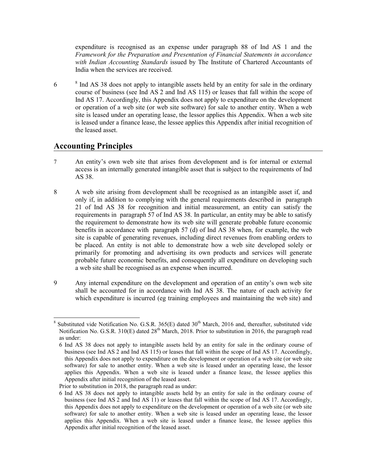expenditure is recognised as an expense under paragraph 88 of Ind AS 1 and the *Framework for the Preparation and Presentation of Financial Statements in accordance with Indian Accounting Standards* issued by The Institute of Chartered Accountants of India when the services are received.

<sup>8</sup> Ind AS 38 does not apply to intangible assets held by an entity for sale in the ordinary course of business (see Ind AS 2 and Ind AS 115) or leases that fall within the scope of Ind AS 17. Accordingly, this Appendix does not apply to expenditure on the development or operation of a web site (or web site software) for sale to another entity. When a web site is leased under an operating lease, the lessor applies this Appendix. When a web site is leased under a finance lease, the lessee applies this Appendix after initial recognition of the leased asset.

## Accounting Principles

- 7 An entity's own web site that arises from development and is for internal or external access is an internally generated intangible asset that is subject to the requirements of Ind AS 38.
- 8 A web site arising from development shall be recognised as an intangible asset if, and only if, in addition to complying with the general requirements described in paragraph 21 of Ind AS 38 for recognition and initial measurement, an entity can satisfy the requirements in paragraph 57 of Ind AS 38. In particular, an entity may be able to satisfy the requirement to demonstrate how its web site will generate probable future economic benefits in accordance with paragraph 57 (d) of Ind AS 38 when, for example, the web site is capable of generating revenues, including direct revenues from enabling orders to be placed. An entity is not able to demonstrate how a web site developed solely or primarily for promoting and advertising its own products and services will generate probable future economic benefits, and consequently all expenditure on developing such a web site shall be recognised as an expense when incurred.
- 9 Any internal expenditure on the development and operation of an entity's own web site shall be accounted for in accordance with Ind AS 38. The nature of each activity for which expenditure is incurred (eg training employees and maintaining the web site) and

Substituted vide Notification No. G.S.R. 365(E) dated 30<sup>th</sup> March, 2016 and, thereafter, substituted vide Notification No. G.S.R. 310(E) dated 28<sup>th</sup> March, 2018. Prior to substitution in 2016, the paragraph read as under:

<sup>6</sup> Ind AS 38 does not apply to intangible assets held by an entity for sale in the ordinary course of business (see Ind AS 2 and Ind AS 115) or leases that fall within the scope of Ind AS 17. Accordingly, this Appendix does not apply to expenditure on the development or operation of a web site (or web site software) for sale to another entity. When a web site is leased under an operating lease, the lessor applies this Appendix. When a web site is leased under a finance lease, the lessee applies this Appendix after initial recognition of the leased asset.

Prior to substitution in 2018, the paragraph read as under:

<sup>6</sup> Ind AS 38 does not apply to intangible assets held by an entity for sale in the ordinary course of business (see Ind AS 2 and Ind AS 11) or leases that fall within the scope of Ind AS 17. Accordingly, this Appendix does not apply to expenditure on the development or operation of a web site (or web site software) for sale to another entity. When a web site is leased under an operating lease, the lessor applies this Appendix. When a web site is leased under a finance lease, the lessee applies this Appendix after initial recognition of the leased asset.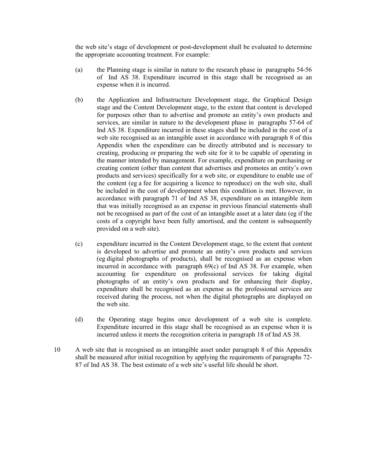the web site's stage of development or post-development shall be evaluated to determine the appropriate accounting treatment. For example:

- (a) the Planning stage is similar in nature to the research phase in paragraphs 54-56 of Ind AS 38. Expenditure incurred in this stage shall be recognised as an expense when it is incurred.
- (b) the Application and Infrastructure Development stage, the Graphical Design stage and the Content Development stage, to the extent that content is developed for purposes other than to advertise and promote an entity's own products and services, are similar in nature to the development phase in paragraphs 57-64 of Ind AS 38. Expenditure incurred in these stages shall be included in the cost of a web site recognised as an intangible asset in accordance with paragraph 8 of this Appendix when the expenditure can be directly attributed and is necessary to creating, producing or preparing the web site for it to be capable of operating in the manner intended by management. For example, expenditure on purchasing or creating content (other than content that advertises and promotes an entity's own products and services) specifically for a web site, or expenditure to enable use of the content (eg a fee for acquiring a licence to reproduce) on the web site, shall be included in the cost of development when this condition is met. However, in accordance with paragraph 71 of Ind AS 38, expenditure on an intangible item that was initially recognised as an expense in previous financial statements shall not be recognised as part of the cost of an intangible asset at a later date (eg if the costs of a copyright have been fully amortised, and the content is subsequently provided on a web site).
- (c) expenditure incurred in the Content Development stage, to the extent that content is developed to advertise and promote an entity's own products and services (eg digital photographs of products), shall be recognised as an expense when incurred in accordance with paragraph 69(c) of Ind AS 38. For example, when accounting for expenditure on professional services for taking digital photographs of an entity's own products and for enhancing their display, expenditure shall be recognised as an expense as the professional services are received during the process, not when the digital photographs are displayed on the web site.
- (d) the Operating stage begins once development of a web site is complete. Expenditure incurred in this stage shall be recognised as an expense when it is incurred unless it meets the recognition criteria in paragraph 18 of Ind AS 38.
- 10 A web site that is recognised as an intangible asset under paragraph 8 of this Appendix shall be measured after initial recognition by applying the requirements of paragraphs 72- 87 of Ind AS 38. The best estimate of a web site's useful life should be short.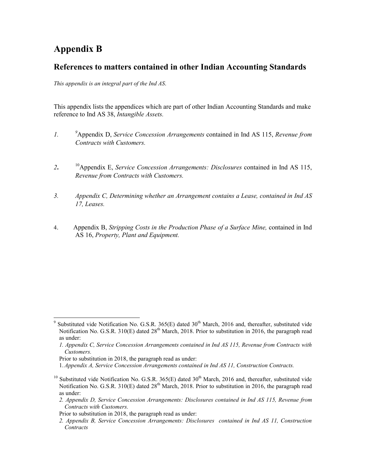# Appendix B

## References to matters contained in other Indian Accounting Standards

*This appendix is an integral part of the Ind AS*.

This appendix lists the appendices which are part of other Indian Accounting Standards and make reference to Ind AS 38, *Intangible Assets.*

- $\overline{I}$ . Appendix D, *Service Concession Arrangements* contained in Ind AS 115, *Revenue from Contracts with Customers.*
- *2*. 10Appendix E, *Service Concession Arrangements: Disclosures* contained in Ind AS 115, *Revenue from Contracts with Customers.*
- *3. Appendix C, Determining whether an Arrangement contains a Lease, contained in Ind AS 17, Leases.*
- 4. Appendix B, *Stripping Costs in the Production Phase of a Surface Mine,* contained in Ind AS 16, *Property, Plant and Equipment.*

Substituted vide Notification No. G.S.R. 365(E) dated 30<sup>th</sup> March, 2016 and, thereafter, substituted vide Notification No. G.S.R. 310(E) dated  $28<sup>th</sup>$  March, 2018. Prior to substitution in 2016, the paragraph read as under:

*<sup>1.</sup> Appendix C, Service Concession Arrangements contained in Ind AS 115, Revenue from Contracts with Customers.*

Prior to substitution in 2018, the paragraph read as under:

<sup>1.</sup> *Appendix A, Service Concession Arrangements contained in Ind AS 11, Construction Contracts.*

<sup>&</sup>lt;sup>10</sup> Substituted vide Notification No. G.S.R. 365(E) dated  $30<sup>th</sup>$  March, 2016 and, thereafter, substituted vide Notification No. G.S.R.  $310(E)$  dated  $28<sup>th</sup>$  March, 2018. Prior to substitution in 2016, the paragraph read as under:

*<sup>2.</sup> Appendix D, Service Concession Arrangements: Disclosures contained in Ind AS 115, Revenue from Contracts with Customers.*

Prior to substitution in 2018, the paragraph read as under:

*<sup>2.</sup> Appendix B, Service Concession Arrangements: Disclosures contained in Ind AS 11, Construction Contracts*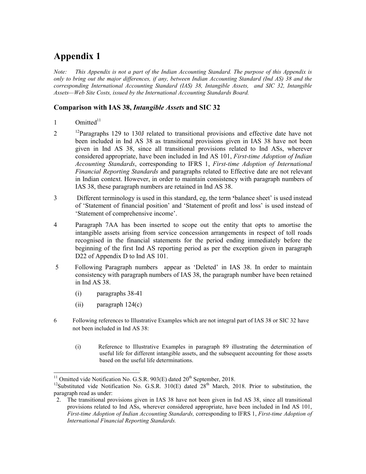# Appendix 1

*Note: This Appendix is not a part of the Indian Accounting Standard. The purpose of this Appendix is only to bring out the major differences, if any, between Indian Accounting Standard (Ind AS) 38 and the corresponding International Accounting Standard (IAS) 38, Intangible Assets, and SIC 32, Intangible Assets—Web Site Costs, issued by the International Accounting Standards Board.*

## Comparison with IAS 38, *Intangible Assets* and SIC 32

- 1  $Omitted^{11}$
- <sup>12</sup>Paragraphs 129 to 130J related to transitional provisions and effective date have not been included in Ind AS 38 as transitional provisions given in IAS 38 have not been given in Ind AS 38, since all transitional provisions related to Ind ASs, wherever considered appropriate, have been included in Ind AS 101, *First-time Adoption of Indian Accounting Standards*, corresponding to IFRS 1, *First-time Adoption of International Financial Reporting Standards* and paragraphs related to Effective date are not relevant in Indian context. However, in order to maintain consistency with paragraph numbers of IAS 38, these paragraph numbers are retained in Ind AS 38.
- 3 Different terminology is used in this standard, eg, the term 'balance sheet' is used instead of 'Statement of financial position' and 'Statement of profit and loss' is used instead of 'Statement of comprehensive income'.
- 4 Paragraph 7AA has been inserted to scope out the entity that opts to amortise the intangible assets arising from service concession arrangements in respect of toll roads recognised in the financial statements for the period ending immediately before the beginning of the first Ind AS reporting period as per the exception given in paragraph D22 of Appendix D to Ind AS 101.
- 5 Following Paragraph numbers appear as 'Deleted' in IAS 38. In order to maintain consistency with paragraph numbers of IAS 38, the paragraph number have been retained in Ind AS 38.
	- (i) paragraphs 38-41
	- (ii) paragraph 124(c)
- 6 Following references to Illustrative Examples which are not integral part of IAS 38 or SIC 32 have not been included in Ind AS 38:
	- (i) Reference to Illustrative Examples in paragraph 89 illustrating the determination of useful life for different intangible assets, and the subsequent accounting for those assets based on the useful life determinations.

<sup>&</sup>lt;sup>11</sup> Omitted vide Notification No. G.S.R. 903(E) dated  $20^{th}$  September, 2018.<br><sup>12</sup> Substituted vide Notification No. G.S.R. 310(E) dated  $28^{th}$  March, 2018. Prior to substitution, the paragraph read as under:

<sup>2.</sup> The transitional provisions given in IAS 38 have not been given in Ind AS 38, since all transitional provisions related to Ind ASs, wherever considered appropriate, have been included in Ind AS 101, *First-time Adoption of Indian Accounting Standards,* corresponding to IFRS 1, *First-time Adoption of International Financial Reporting Standards.*